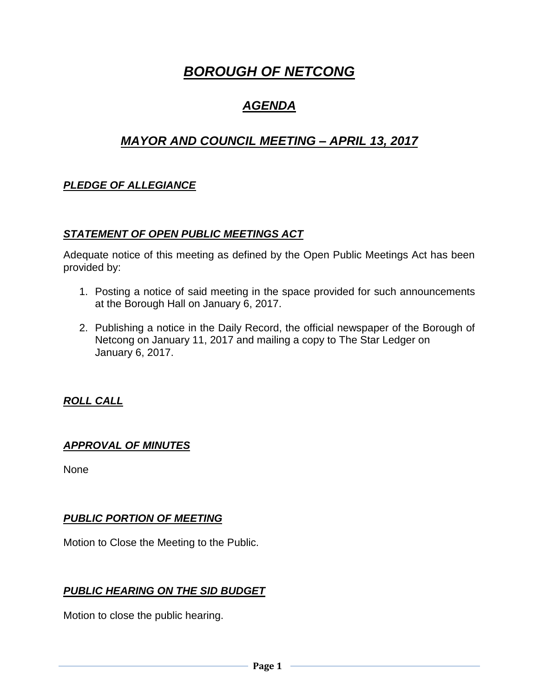# *BOROUGH OF NETCONG*

## *AGENDA*

## *MAYOR AND COUNCIL MEETING – APRIL 13, 2017*

## *PLEDGE OF ALLEGIANCE*

### *STATEMENT OF OPEN PUBLIC MEETINGS ACT*

Adequate notice of this meeting as defined by the Open Public Meetings Act has been provided by:

- 1. Posting a notice of said meeting in the space provided for such announcements at the Borough Hall on January 6, 2017.
- 2. Publishing a notice in the Daily Record, the official newspaper of the Borough of Netcong on January 11, 2017 and mailing a copy to The Star Ledger on January 6, 2017.

## *ROLL CALL*

### *APPROVAL OF MINUTES*

None

## *PUBLIC PORTION OF MEETING*

Motion to Close the Meeting to the Public.

## *PUBLIC HEARING ON THE SID BUDGET*

Motion to close the public hearing.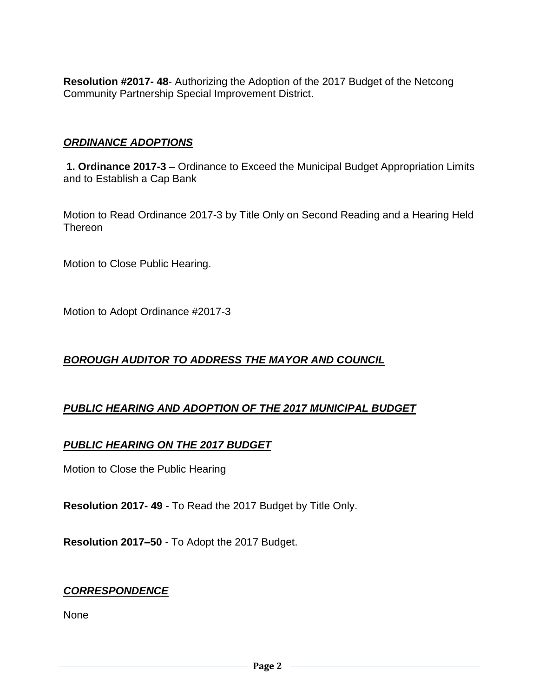**Resolution #2017- 48**- Authorizing the Adoption of the 2017 Budget of the Netcong Community Partnership Special Improvement District.

## *ORDINANCE ADOPTIONS*

**1. Ordinance 2017-3** – Ordinance to Exceed the Municipal Budget Appropriation Limits and to Establish a Cap Bank

Motion to Read Ordinance 2017-3 by Title Only on Second Reading and a Hearing Held Thereon

Motion to Close Public Hearing.

Motion to Adopt Ordinance #2017-3

## *BOROUGH AUDITOR TO ADDRESS THE MAYOR AND COUNCIL*

## *PUBLIC HEARING AND ADOPTION OF THE 2017 MUNICIPAL BUDGET*

### *PUBLIC HEARING ON THE 2017 BUDGET*

Motion to Close the Public Hearing

**Resolution 2017- 49** - To Read the 2017 Budget by Title Only.

**Resolution 2017–50** - To Adopt the 2017 Budget.

### *CORRESPONDENCE*

None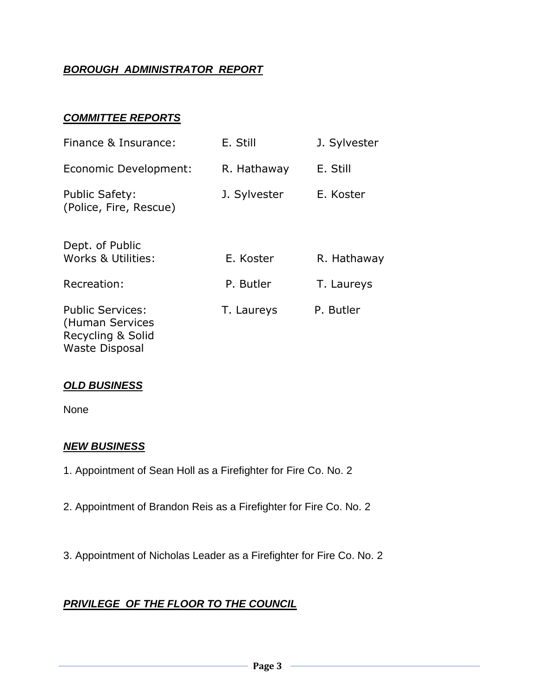## *BOROUGH ADMINISTRATOR REPORT*

## *COMMITTEE REPORTS*

| Finance & Insurance:                                            | E. Still     | J. Sylvester |
|-----------------------------------------------------------------|--------------|--------------|
| Economic Development:                                           | R. Hathaway  | E. Still     |
| <b>Public Safety:</b><br>(Police, Fire, Rescue)                 | J. Sylvester | E. Koster    |
| Dept. of Public<br>Works & Utilities:                           | E. Koster    | R. Hathaway  |
| Recreation:                                                     | P. Butler    | T. Laureys   |
| <b>Public Services:</b><br>(Human Services<br>Recycling & Solid | T. Laureys   | P. Butler    |

### *OLD BUSINESS*

Waste Disposal

None

### *NEW BUSINESS*

- 1. Appointment of Sean Holl as a Firefighter for Fire Co. No. 2
- 2. Appointment of Brandon Reis as a Firefighter for Fire Co. No. 2
- 3. Appointment of Nicholas Leader as a Firefighter for Fire Co. No. 2

## *PRIVILEGE OF THE FLOOR TO THE COUNCIL*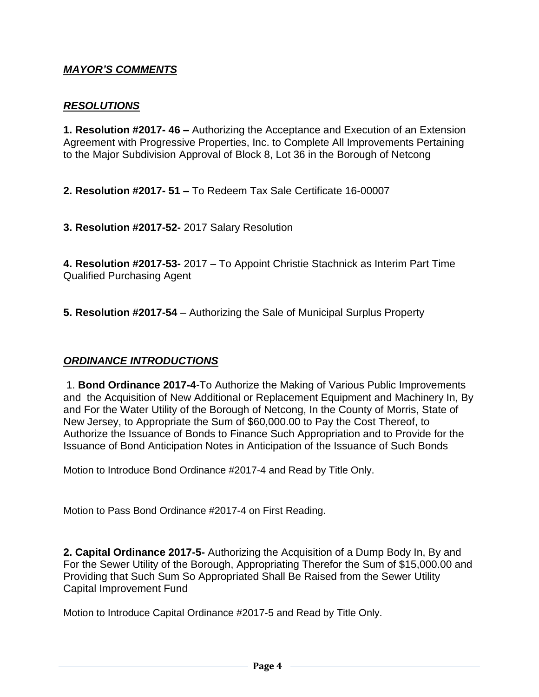## *MAYOR'S COMMENTS*

#### *RESOLUTIONS*

**1. Resolution #2017- 46 –** Authorizing the Acceptance and Execution of an Extension Agreement with Progressive Properties, Inc. to Complete All Improvements Pertaining to the Major Subdivision Approval of Block 8, Lot 36 in the Borough of Netcong

**2. Resolution #2017- 51 –** To Redeem Tax Sale Certificate 16-00007

**3. Resolution #2017-52-** 2017 Salary Resolution

**4. Resolution #2017-53-** 2017 – To Appoint Christie Stachnick as Interim Part Time Qualified Purchasing Agent

**5. Resolution #2017-54** – Authorizing the Sale of Municipal Surplus Property

### *ORDINANCE INTRODUCTIONS*

1. **Bond Ordinance 2017-4**-To Authorize the Making of Various Public Improvements and the Acquisition of New Additional or Replacement Equipment and Machinery In, By and For the Water Utility of the Borough of Netcong, In the County of Morris, State of New Jersey, to Appropriate the Sum of \$60,000.00 to Pay the Cost Thereof, to Authorize the Issuance of Bonds to Finance Such Appropriation and to Provide for the Issuance of Bond Anticipation Notes in Anticipation of the Issuance of Such Bonds

Motion to Introduce Bond Ordinance #2017-4 and Read by Title Only.

Motion to Pass Bond Ordinance #2017-4 on First Reading.

**2. Capital Ordinance 2017-5-** Authorizing the Acquisition of a Dump Body In, By and For the Sewer Utility of the Borough, Appropriating Therefor the Sum of \$15,000.00 and Providing that Such Sum So Appropriated Shall Be Raised from the Sewer Utility Capital Improvement Fund

Motion to Introduce Capital Ordinance #2017-5 and Read by Title Only.